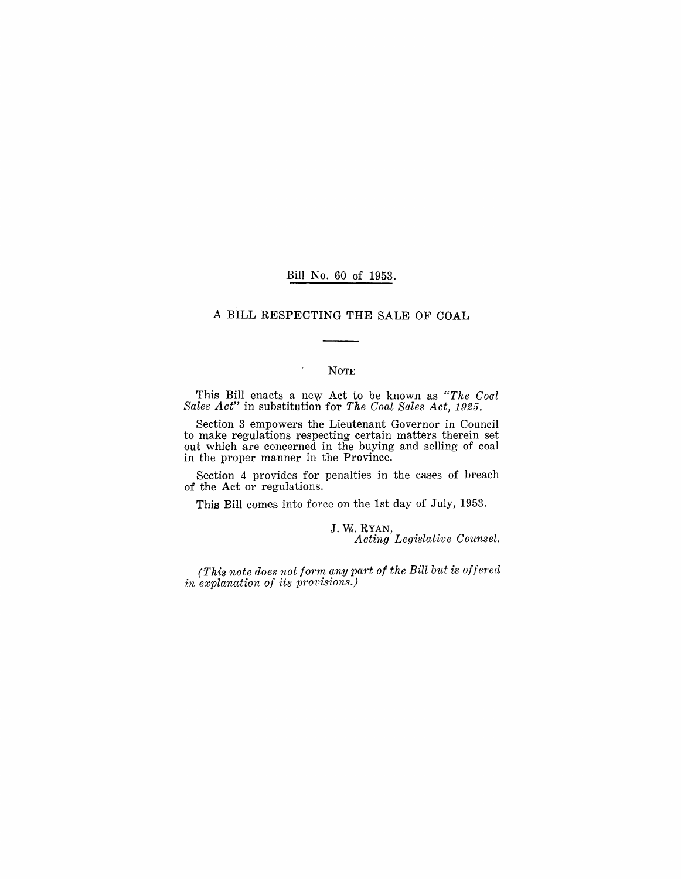### Bill No. 60 of 1953.

### A BILL RESPECTING THE SALE OF COAL

### NOTE

 $\cdot$ 

This Bill enacts a new Act to be known as *"The Coal Sales Act"* in substitution for *The Coal Sales Act, 1925.* 

Section 3 empowers the Lieutenant Governor in Council to make regulations respecting certain matters therein set out which are concerned in the buying and selling of coal in the proper manner in the Province.

Section 4 provides for penalties in the cases of breach of the Act or regulations.

This Bill comes into force on the 1st day of July, 1953.

J. W. RYAN, *Acting Legislative Counsel.* 

*(This note does not form any part of the Bill but is offered*  in explanation of its provisions.)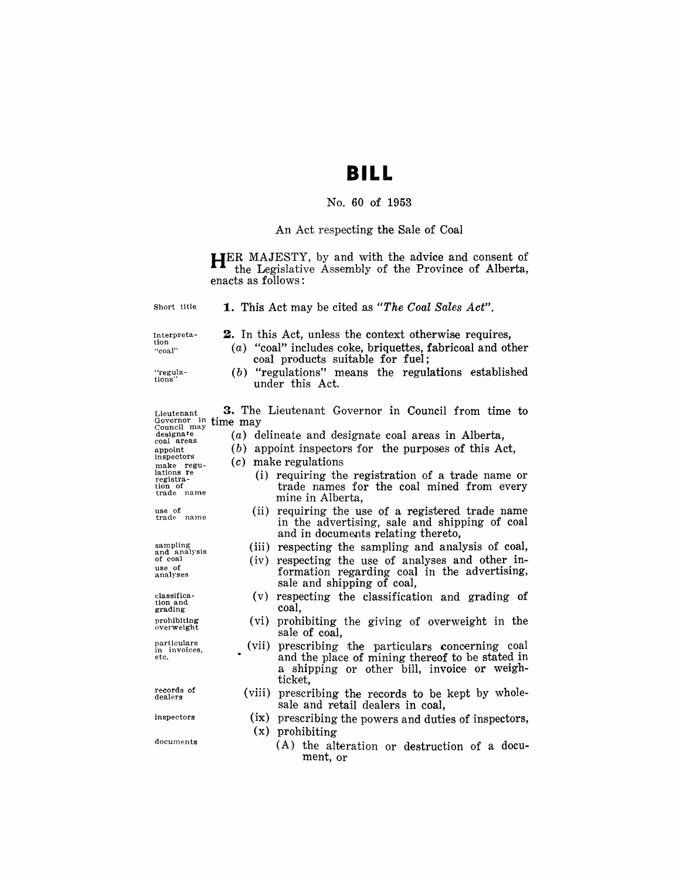# **BILL**

## No. 60 of 1953

## An Act respecting the Sale of Coal

HER MAJESTY, by and with the advice and consent of the Legislative Assembly of the Province of Alberta, enacts as follows:

| Short title                                                                                                                                      | <b>1.</b> This Act may be cited as "The Coal Sales Act".                                                                                                                                                                                                                                                       |
|--------------------------------------------------------------------------------------------------------------------------------------------------|----------------------------------------------------------------------------------------------------------------------------------------------------------------------------------------------------------------------------------------------------------------------------------------------------------------|
| Interpreta-<br>tion<br>"coal"<br>"regula-<br>tions"                                                                                              | <b>2.</b> In this Act, unless the context otherwise requires,<br>$(a)$ "coal" includes coke, briquettes, fabricoal and other<br>coal products suitable for fuel;<br>$(b)$ "regulations" means the regulations established<br>under this Act.                                                                   |
| Lieutenant<br>Governor in<br>Council may<br>designate<br>coal areas<br>appoint<br>inspectors<br>make regu-<br>lations re<br>registra-<br>tion of | 3. The Lieutenant Governor in Council from time to<br>time may<br>$(a)$ delineate and designate coal areas in Alberta,<br>appoint inspectors for the purposes of this Act,<br>(b)<br>make regulations<br>(c)<br>(i) requiring the registration of a trade name or<br>trade names for the coal mined from every |
| trade name<br>use of<br>trade name                                                                                                               | mine in Alberta,<br>requiring the use of a registered trade name<br>(ii)<br>in the advertising, sale and shipping of coal<br>and in documents relating thereto,                                                                                                                                                |
| sampling<br>and analysis<br>of coal<br>use of<br>analyses                                                                                        | respecting the sampling and analysis of coal,<br>(iii)<br>respecting the use of analyses and other in-<br>(iv)<br>formation regarding coal in the advertising,<br>sale and shipping of coal,                                                                                                                   |
| classifica-<br>tion and<br>grading                                                                                                               | respecting the classification and grading of<br>(v)<br>coal,                                                                                                                                                                                                                                                   |
| prohibiting<br>overweight                                                                                                                        | prohibiting the giving of overweight in the<br>(vi)<br>sale of coal,                                                                                                                                                                                                                                           |
| particulars<br>in invoices.<br>etc.                                                                                                              | prescribing the particulars concerning coal<br>(vii)<br>and the place of mining thereof to be stated in<br>a shipping or other bill, invoice or weigh-<br>ticket.                                                                                                                                              |
| records of<br>dealers                                                                                                                            | (viii)<br>prescribing the records to be kept by whole-<br>sale and retail dealers in coal,                                                                                                                                                                                                                     |
| inspectors                                                                                                                                       | (ix)<br>prescribing the powers and duties of inspectors,<br>prohibiting<br>$(\mathbf{x})$                                                                                                                                                                                                                      |
| documents                                                                                                                                        | (A) the alteration or destruction of a docu-<br>ment, or                                                                                                                                                                                                                                                       |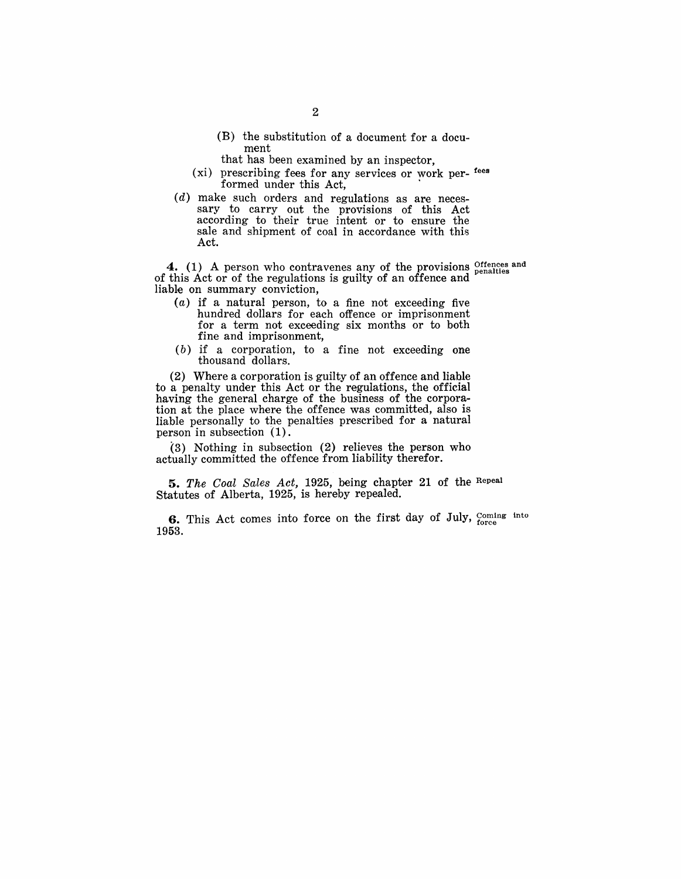- (B) the substitution of a document for a document
- that has been examined by an inspector,
- (xi) prescribing fees for any services or work per- fees formed under this Act,
- (d) make such orders and regulations as are necessary to carry out the provisions of this Act according to their true intent or to ensure the sale and shipment of coal in accordance with this Act.

4. (1) A person who contravenes any of the provisions offences and of this Act or of the regulations is guilty of an offence and liable on summary conviction,

- $(a)$  if a natural person, to a fine not exceeding five hundred dollars for each offence or imprisonment for a term not exceeding six months or to both fine and imprisonment,
- (b) if a corporation, to a fine not exceeding one thousand dollars.

(2) Where a corporation is guilty of an offence and liable to a penalty under this Act or the regulations, the official having the general charge of the business of the corporation at the place where the offence was committed, also is liable personally to the penalties prescribed for a natural person in subsection (1).

 $(3)$  Nothing in subsection  $(2)$  relieves the person who actually committed the offence from liability therefor.

*5. The Coal Sales Act,* 1925, being chapter 21 of the Repeal Statutes of Alberta, 1925, is hereby repealed.

**6.** This Act comes into force on the first day of July,  $C_{\text{force}}^{\text{coming} \text{ into}}$ 1953.